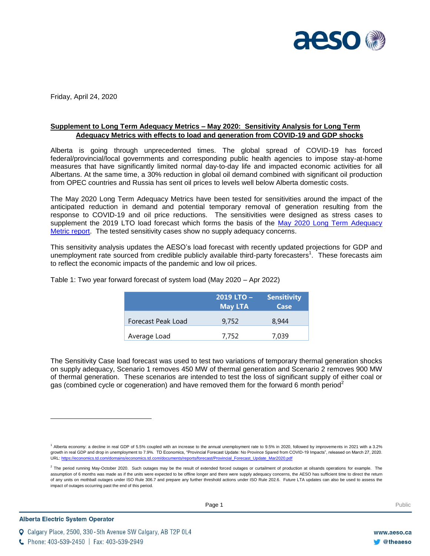

Friday, April 24, 2020

## **Supplement to Long Term Adequacy Metrics – May 2020: Sensitivity Analysis for Long Term Adequacy Metrics with effects to load and generation from COVID-19 and GDP shocks**

Alberta is going through unprecedented times. The global spread of COVID-19 has forced federal/provincial/local governments and corresponding public health agencies to impose stay-at-home measures that have significantly limited normal day-to-day life and impacted economic activities for all Albertans. At the same time, a 30% reduction in global oil demand combined with significant oil production from OPEC countries and Russia has sent oil prices to levels well below Alberta domestic costs.

The May 2020 Long Term Adequacy Metrics have been tested for sensitivities around the impact of the anticipated reduction in demand and potential temporary removal of generation resulting from the response to COVID-19 and oil price reductions. The sensitivities were designed as stress cases to supplement the 2019 LTO load forecast which forms the basis of the [May 2020 Long Term Adequacy](https://www.aeso.ca/market/market-and-system-reporting/long-term-adequacy-metrics/)  [Metric report.](https://www.aeso.ca/market/market-and-system-reporting/long-term-adequacy-metrics/) The tested sensitivity cases show no supply adequacy concerns.

This sensitivity analysis updates the AESO's load forecast with recently updated projections for GDP and unemployment rate sourced from credible publicly available third-party forecasters<sup>1</sup>. These forecasts aim to reflect the economic impacts of the pandemic and low oil prices.

|                    | 2019 LTO -<br>May LTA | <b>Sensitivity</b><br>Case |  |
|--------------------|-----------------------|----------------------------|--|
| Forecast Peak Load | 9.752                 | 8.944                      |  |
| Average Load       | 7.752                 | 7.039                      |  |

Table 1: Two year forward forecast of system load (May 2020 – Apr 2022)

The Sensitivity Case load forecast was used to test two variations of temporary thermal generation shocks on supply adequacy, Scenario 1 removes 450 MW of thermal generation and Scenario 2 removes 900 MW of thermal generation. These scenarios are intended to test the loss of significant supply of either coal or gas (combined cycle or cogeneration) and have removed them for the forward 6 month period<sup>2</sup>

l

**Q** Calgary Place, 2500, 330-5th Avenue SW Calgary, AB T2P 0L4

<sup>1</sup> Alberta economy: a decline in real GDP of 5.5% coupled with an increase to the annual unemployment rate to 9.5% in 2020, followed by improvements in 2021 with a 3.2% growth in real GDP and drop in unemployment to 7.9%. TD Economics, "Provincial Forecast Update: No Province Spared from COVID-19 Impacts", released on March 27, 2020. URL[: https://economics.td.com/domains/economics.td.com/documents/reports/forecast/Provincial\\_Forecast\\_Update\\_Mar2020.pdf](https://economics.td.com/domains/economics.td.com/documents/reports/forecast/Provincial_Forecast_Update_Mar2020.pdf)

 $^2$  The period running May-October 2020. Such outages may be the result of extended forced outages or curtailment of production at oilsands operations for example. The assumption of 6 months was made as if the units were expected to be offline longer and there were supply adequacy concerns, the AESO has sufficient time to direct the return of any units on mothball outages under ISO Rule 306.7 and prepare any further threshold actions under ISO Rule 202.6. Future LTA updates can also be used to assess the impact of outages occurring past the end of this period.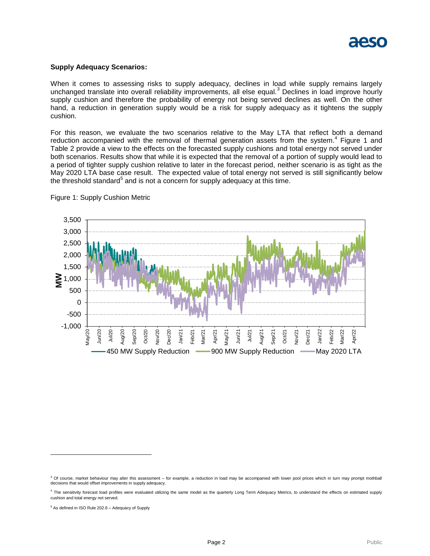

## **Supply Adequacy Scenarios:**

When it comes to assessing risks to supply adequacy, declines in load while supply remains largely unchanged translate into overall reliability improvements, all else equal.<sup>3</sup> Declines in load improve hourly supply cushion and therefore the probability of energy not being served declines as well. On the other hand, a reduction in generation supply would be a risk for supply adequacy as it tightens the supply cushion.

For this reason, we evaluate the two scenarios relative to the May LTA that reflect both a demand reduction accompanied with the removal of thermal generation assets from the system. $4$  Figure 1 and Table 2 provide a view to the effects on the forecasted supply cushions and total energy not served under both scenarios. Results show that while it is expected that the removal of a portion of supply would lead to a period of tighter supply cushion relative to later in the forecast period, neither scenario is as tight as the May 2020 LTA base case result. The expected value of total energy not served is still significantly below the threshold standard<sup>5</sup> and is not a concern for supply adequacy at this time.



Figure 1: Supply Cushion Metric

l

<sup>&</sup>lt;sup>3</sup> Of course, market behaviour may alter this assessment – for example, a reduction in load may be accompanied with lower pool prices which in turn may prompt mothball decisions that would offset improvements in supply adequacy.

<sup>&</sup>lt;sup>4</sup> The sensitivity forecast load profiles were evaluated utilizing the same model as the quarterly Long Term Adequacy Metrics, to understand the effects on estimated supply cushion and total energy not served.

<sup>5</sup> As defined in ISO Rule 202.6 – Adequacy of Supply